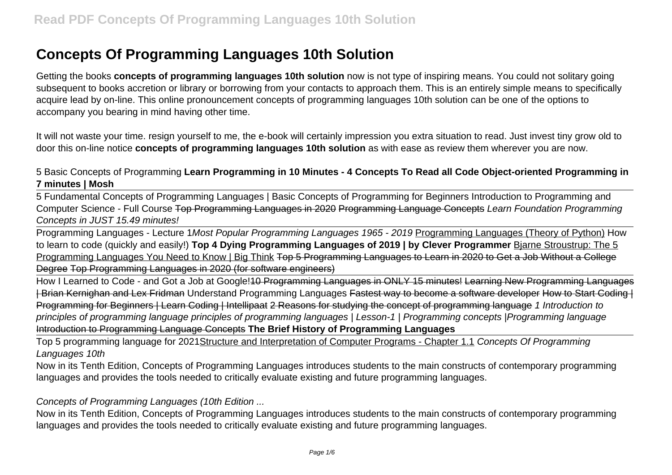Getting the books **concepts of programming languages 10th solution** now is not type of inspiring means. You could not solitary going subsequent to books accretion or library or borrowing from your contacts to approach them. This is an entirely simple means to specifically acquire lead by on-line. This online pronouncement concepts of programming languages 10th solution can be one of the options to accompany you bearing in mind having other time.

It will not waste your time. resign yourself to me, the e-book will certainly impression you extra situation to read. Just invest tiny grow old to door this on-line notice **concepts of programming languages 10th solution** as with ease as review them wherever you are now.

## 5 Basic Concepts of Programming **Learn Programming in 10 Minutes - 4 Concepts To Read all Code Object-oriented Programming in 7 minutes | Mosh**

5 Fundamental Concepts of Programming Languages | Basic Concepts of Programming for Beginners Introduction to Programming and Computer Science - Full Course Top Programming Languages in 2020 Programming Language Concepts Learn Foundation Programming Concepts in JUST 15.49 minutes!

Programming Languages - Lecture 1Most Popular Programming Languages 1965 - 2019 Programming Languages (Theory of Python) How to learn to code (quickly and easily!) **Top 4 Dying Programming Languages of 2019 | by Clever Programmer** Bjarne Stroustrup: The 5 Programming Languages You Need to Know | Big Think Top 5 Programming Languages to Learn in 2020 to Get a Job Without a College Degree Top Programming Languages in 2020 (for software engineers)

How I Learned to Code - and Got a Job at Google!<del>10 Programming Languages in ONLY 15 minutes! Learning New Programming Languages</del> | Brian Kernighan and Lex Fridman Understand Programming Languages Fastest way to become a software developer How to Start Coding | Programming for Beginners | Learn Coding | Intellipaat 2 Reasons for studying the concept of programming language 1 Introduction to principles of programming language principles of programming languages | Lesson-1 | Programming concepts |Programming language Introduction to Programming Language Concepts **The Brief History of Programming Languages**

Top 5 programming language for 2021Structure and Interpretation of Computer Programs - Chapter 1.1 Concepts Of Programming Languages 10th

Now in its Tenth Edition, Concepts of Programming Languages introduces students to the main constructs of contemporary programming languages and provides the tools needed to critically evaluate existing and future programming languages.

Concepts of Programming Languages (10th Edition ...

Now in its Tenth Edition, Concepts of Programming Languages introduces students to the main constructs of contemporary programming languages and provides the tools needed to critically evaluate existing and future programming languages.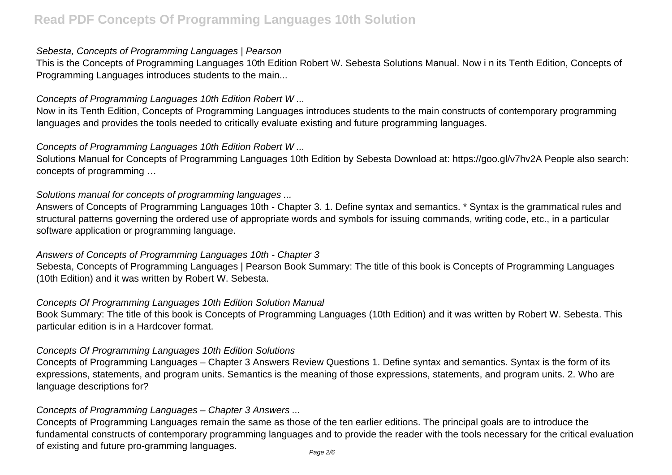#### Sebesta, Concepts of Programming Languages | Pearson

This is the Concepts of Programming Languages 10th Edition Robert W. Sebesta Solutions Manual. Now i n its Tenth Edition, Concepts of Programming Languages introduces students to the main...

#### Concepts of Programming Languages 10th Edition Robert W ...

Now in its Tenth Edition, Concepts of Programming Languages introduces students to the main constructs of contemporary programming languages and provides the tools needed to critically evaluate existing and future programming languages.

#### Concepts of Programming Languages 10th Edition Robert W ...

Solutions Manual for Concepts of Programming Languages 10th Edition by Sebesta Download at: https://goo.gl/v7hv2A People also search: concepts of programming …

#### Solutions manual for concepts of programming languages ...

Answers of Concepts of Programming Languages 10th - Chapter 3. 1. Define syntax and semantics. \* Syntax is the grammatical rules and structural patterns governing the ordered use of appropriate words and symbols for issuing commands, writing code, etc., in a particular software application or programming language.

#### Answers of Concepts of Programming Languages 10th - Chapter 3

Sebesta, Concepts of Programming Languages | Pearson Book Summary: The title of this book is Concepts of Programming Languages (10th Edition) and it was written by Robert W. Sebesta.

#### Concepts Of Programming Languages 10th Edition Solution Manual

Book Summary: The title of this book is Concepts of Programming Languages (10th Edition) and it was written by Robert W. Sebesta. This particular edition is in a Hardcover format.

#### Concepts Of Programming Languages 10th Edition Solutions

Concepts of Programming Languages – Chapter 3 Answers Review Questions 1. Define syntax and semantics. Syntax is the form of its expressions, statements, and program units. Semantics is the meaning of those expressions, statements, and program units. 2. Who are language descriptions for?

### Concepts of Programming Languages – Chapter 3 Answers ...

Concepts of Programming Languages remain the same as those of the ten earlier editions. The principal goals are to introduce the fundamental constructs of contemporary programming languages and to provide the reader with the tools necessary for the critical evaluation of existing and future pro-gramming languages.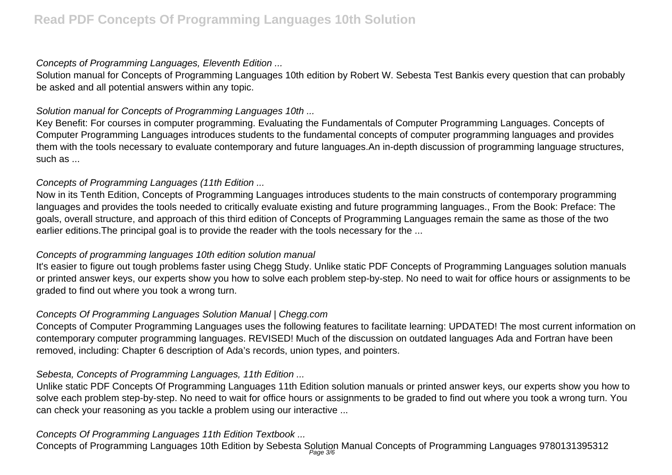### Concepts of Programming Languages, Eleventh Edition ...

Solution manual for Concepts of Programming Languages 10th edition by Robert W. Sebesta Test Bankis every question that can probably be asked and all potential answers within any topic.

## Solution manual for Concepts of Programming Languages 10th ...

Key Benefit: For courses in computer programming. Evaluating the Fundamentals of Computer Programming Languages. Concepts of Computer Programming Languages introduces students to the fundamental concepts of computer programming languages and provides them with the tools necessary to evaluate contemporary and future languages.An in-depth discussion of programming language structures, such as ...

## Concepts of Programming Languages (11th Edition ...

Now in its Tenth Edition, Concepts of Programming Languages introduces students to the main constructs of contemporary programming languages and provides the tools needed to critically evaluate existing and future programming languages., From the Book: Preface: The goals, overall structure, and approach of this third edition of Concepts of Programming Languages remain the same as those of the two earlier editions. The principal goal is to provide the reader with the tools necessary for the ...

### Concepts of programming languages 10th edition solution manual

It's easier to figure out tough problems faster using Chegg Study. Unlike static PDF Concepts of Programming Languages solution manuals or printed answer keys, our experts show you how to solve each problem step-by-step. No need to wait for office hours or assignments to be graded to find out where you took a wrong turn.

### Concepts Of Programming Languages Solution Manual | Chegg.com

Concepts of Computer Programming Languages uses the following features to facilitate learning: UPDATED! The most current information on contemporary computer programming languages. REVISED! Much of the discussion on outdated languages Ada and Fortran have been removed, including: Chapter 6 description of Ada's records, union types, and pointers.

# Sebesta, Concepts of Programming Languages, 11th Edition ...

Unlike static PDF Concepts Of Programming Languages 11th Edition solution manuals or printed answer keys, our experts show you how to solve each problem step-by-step. No need to wait for office hours or assignments to be graded to find out where you took a wrong turn. You can check your reasoning as you tackle a problem using our interactive ...

# Concepts Of Programming Languages 11th Edition Textbook ...

Concepts of Programming Languages 10th Edition by Sebesta Solution Manual Concepts of Programming Languages 9780131395312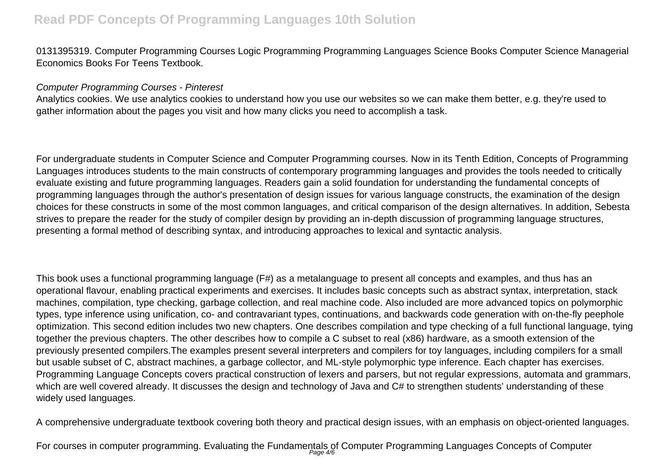0131395319. Computer Programming Courses Logic Programming Programming Languages Science Books Computer Science Managerial Economics Books For Teens Textbook.

#### Computer Programming Courses - Pinterest

Analytics cookies. We use analytics cookies to understand how you use our websites so we can make them better, e.g. they're used to gather information about the pages you visit and how many clicks you need to accomplish a task.

For undergraduate students in Computer Science and Computer Programming courses. Now in its Tenth Edition, Concepts of Programming Languages introduces students to the main constructs of contemporary programming languages and provides the tools needed to critically evaluate existing and future programming languages. Readers gain a solid foundation for understanding the fundamental concepts of programming languages through the author's presentation of design issues for various language constructs, the examination of the design choices for these constructs in some of the most common languages, and critical comparison of the design alternatives. In addition, Sebesta strives to prepare the reader for the study of compiler design by providing an in-depth discussion of programming language structures, presenting a formal method of describing syntax, and introducing approaches to lexical and syntactic analysis.

This book uses a functional programming language (F#) as a metalanguage to present all concepts and examples, and thus has an operational flavour, enabling practical experiments and exercises. It includes basic concepts such as abstract syntax, interpretation, stack machines, compilation, type checking, garbage collection, and real machine code. Also included are more advanced topics on polymorphic types, type inference using unification, co- and contravariant types, continuations, and backwards code generation with on-the-fly peephole optimization. This second edition includes two new chapters. One describes compilation and type checking of a full functional language, tying together the previous chapters. The other describes how to compile a C subset to real (x86) hardware, as a smooth extension of the previously presented compilers.The examples present several interpreters and compilers for toy languages, including compilers for a small but usable subset of C, abstract machines, a garbage collector, and ML-style polymorphic type inference. Each chapter has exercises. Programming Language Concepts covers practical construction of lexers and parsers, but not regular expressions, automata and grammars, which are well covered already. It discusses the design and technology of Java and C# to strengthen students' understanding of these widely used languages.

A comprehensive undergraduate textbook covering both theory and practical design issues, with an emphasis on object-oriented languages.

For courses in computer programming. Evaluating the Fundamentals of Computer Programming Languages Concepts of Computer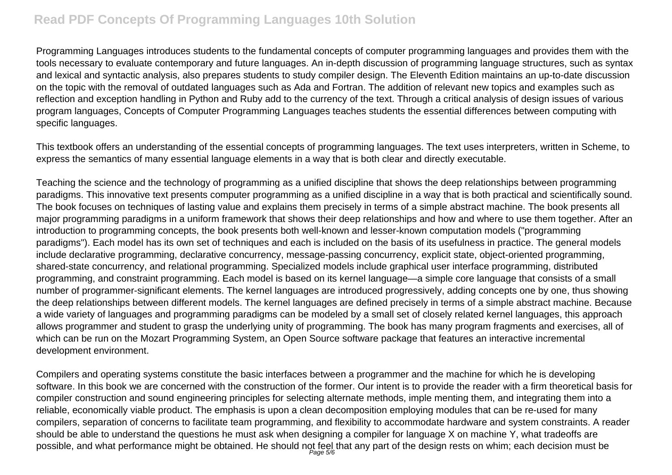Programming Languages introduces students to the fundamental concepts of computer programming languages and provides them with the tools necessary to evaluate contemporary and future languages. An in-depth discussion of programming language structures, such as syntax and lexical and syntactic analysis, also prepares students to study compiler design. The Eleventh Edition maintains an up-to-date discussion on the topic with the removal of outdated languages such as Ada and Fortran. The addition of relevant new topics and examples such as reflection and exception handling in Python and Ruby add to the currency of the text. Through a critical analysis of design issues of various program languages, Concepts of Computer Programming Languages teaches students the essential differences between computing with specific languages.

This textbook offers an understanding of the essential concepts of programming languages. The text uses interpreters, written in Scheme, to express the semantics of many essential language elements in a way that is both clear and directly executable.

Teaching the science and the technology of programming as a unified discipline that shows the deep relationships between programming paradigms. This innovative text presents computer programming as a unified discipline in a way that is both practical and scientifically sound. The book focuses on techniques of lasting value and explains them precisely in terms of a simple abstract machine. The book presents all major programming paradigms in a uniform framework that shows their deep relationships and how and where to use them together. After an introduction to programming concepts, the book presents both well-known and lesser-known computation models ("programming paradigms"). Each model has its own set of techniques and each is included on the basis of its usefulness in practice. The general models include declarative programming, declarative concurrency, message-passing concurrency, explicit state, object-oriented programming, shared-state concurrency, and relational programming. Specialized models include graphical user interface programming, distributed programming, and constraint programming. Each model is based on its kernel language—a simple core language that consists of a small number of programmer-significant elements. The kernel languages are introduced progressively, adding concepts one by one, thus showing the deep relationships between different models. The kernel languages are defined precisely in terms of a simple abstract machine. Because a wide variety of languages and programming paradigms can be modeled by a small set of closely related kernel languages, this approach allows programmer and student to grasp the underlying unity of programming. The book has many program fragments and exercises, all of which can be run on the Mozart Programming System, an Open Source software package that features an interactive incremental development environment.

Compilers and operating systems constitute the basic interfaces between a programmer and the machine for which he is developing software. In this book we are concerned with the construction of the former. Our intent is to provide the reader with a firm theoretical basis for compiler construction and sound engineering principles for selecting alternate methods, imple menting them, and integrating them into a reliable, economically viable product. The emphasis is upon a clean decomposition employing modules that can be re-used for many compilers, separation of concerns to facilitate team programming, and flexibility to accommodate hardware and system constraints. A reader should be able to understand the questions he must ask when designing a compiler for language X on machine Y, what tradeoffs are possible, and what performance might be obtained. He should not feel that any part of the design rests on whim; each decision must be